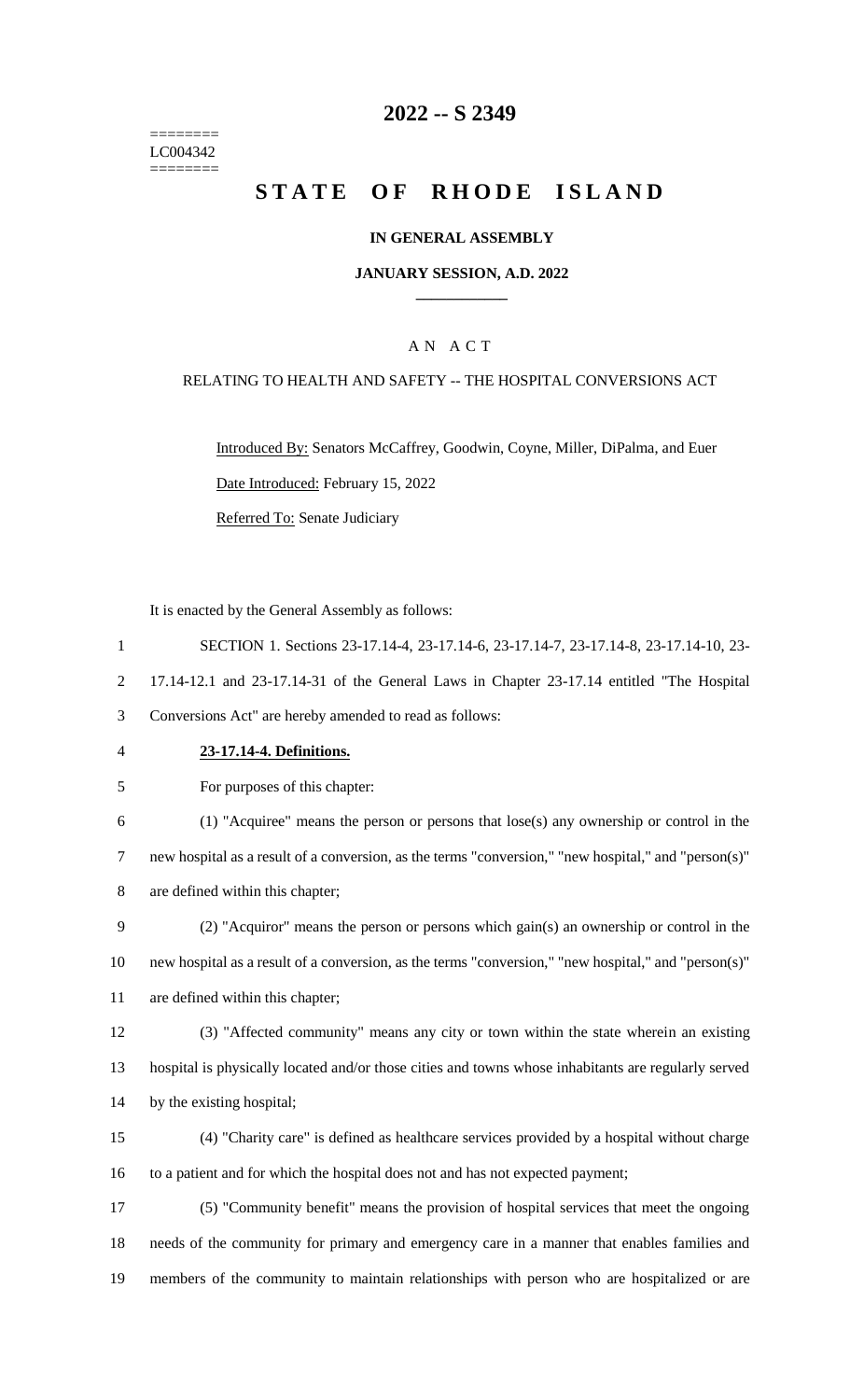======== LC004342 ========

# **-- S 2349**

# **STATE OF RHODE ISLAND**

### **IN GENERAL ASSEMBLY**

### **JANUARY SESSION, A.D. 2022 \_\_\_\_\_\_\_\_\_\_\_\_**

# A N A C T

### RELATING TO HEALTH AND SAFETY -- THE HOSPITAL CONVERSIONS ACT

Introduced By: Senators McCaffrey, Goodwin, Coyne, Miller, DiPalma, and Euer Date Introduced: February 15, 2022 Referred To: Senate Judiciary

It is enacted by the General Assembly as follows:

- SECTION 1. Sections 23-17.14-4, 23-17.14-6, 23-17.14-7, 23-17.14-8, 23-17.14-10, 23- 17.14-12.1 and 23-17.14-31 of the General Laws in Chapter 23-17.14 entitled "The Hospital Conversions Act" are hereby amended to read as follows: **23-17.14-4. Definitions.**
- For purposes of this chapter:

 (1) "Acquiree" means the person or persons that lose(s) any ownership or control in the new hospital as a result of a conversion, as the terms "conversion," "new hospital," and "person(s)" are defined within this chapter;

 (2) "Acquiror" means the person or persons which gain(s) an ownership or control in the new hospital as a result of a conversion, as the terms "conversion," "new hospital," and "person(s)" are defined within this chapter;

 (3) "Affected community" means any city or town within the state wherein an existing hospital is physically located and/or those cities and towns whose inhabitants are regularly served by the existing hospital;

 (4) "Charity care" is defined as healthcare services provided by a hospital without charge to a patient and for which the hospital does not and has not expected payment;

 (5) "Community benefit" means the provision of hospital services that meet the ongoing needs of the community for primary and emergency care in a manner that enables families and members of the community to maintain relationships with person who are hospitalized or are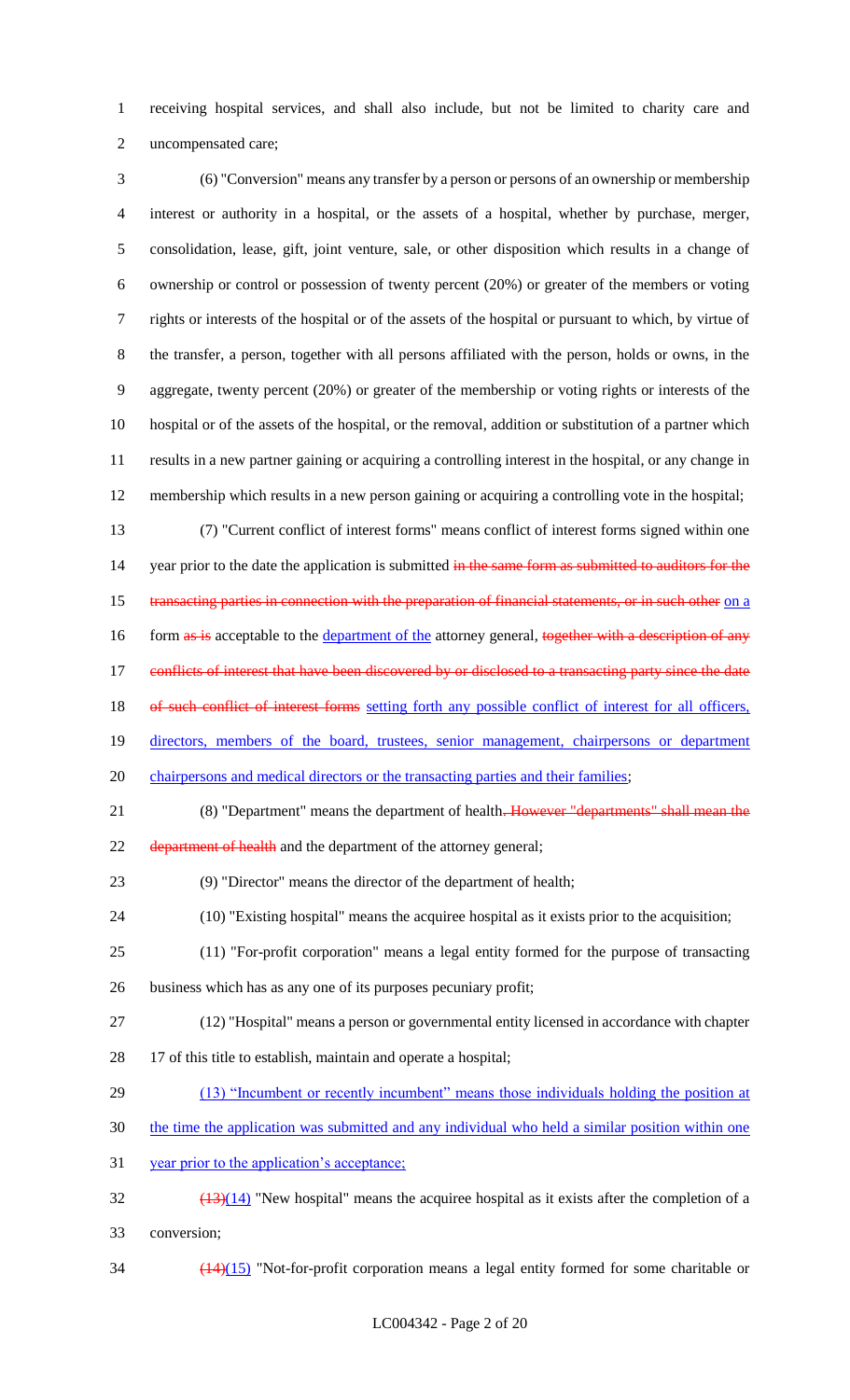1 receiving hospital services, and shall also include, but not be limited to charity care and 2 uncompensated care;

 (6) "Conversion" means any transfer by a person or persons of an ownership or membership interest or authority in a hospital, or the assets of a hospital, whether by purchase, merger, consolidation, lease, gift, joint venture, sale, or other disposition which results in a change of ownership or control or possession of twenty percent (20%) or greater of the members or voting rights or interests of the hospital or of the assets of the hospital or pursuant to which, by virtue of the transfer, a person, together with all persons affiliated with the person, holds or owns, in the aggregate, twenty percent (20%) or greater of the membership or voting rights or interests of the hospital or of the assets of the hospital, or the removal, addition or substitution of a partner which results in a new partner gaining or acquiring a controlling interest in the hospital, or any change in membership which results in a new person gaining or acquiring a controlling vote in the hospital;

13 (7) "Current conflict of interest forms" means conflict of interest forms signed within one 14 year prior to the date the application is submitted in the same form as submitted to auditors for the 15 transacting parties in connection with the preparation of financial statements, or in such other on a 16 form as is acceptable to the department of the attorney general, together with a description of any 17 conflicts of interest that have been discovered by or disclosed to a transacting party since the date 18 of such conflict of interest forms setting forth any possible conflict of interest for all officers, 19 directors, members of the board, trustees, senior management, chairpersons or department 20 chairpersons and medical directors or the transacting parties and their families; 21 (8) "Department" means the department of health. However "departments" shall mean the

22 department of health and the department of the attorney general;

23 (9) "Director" means the director of the department of health;

- 24 (10) "Existing hospital" means the acquiree hospital as it exists prior to the acquisition;
- 25 (11) "For-profit corporation" means a legal entity formed for the purpose of transacting 26 business which has as any one of its purposes pecuniary profit;
- 27 (12) "Hospital" means a person or governmental entity licensed in accordance with chapter
- 28 17 of this title to establish, maintain and operate a hospital;
- 29 (13) "Incumbent or recently incumbent" means those individuals holding the position at
- 30 the time the application was submitted and any individual who held a similar position within one
- 31 year prior to the application's acceptance;
- $\frac{(13)(14)}{13}$  "New hospital" means the acquiree hospital as it exists after the completion of a 33 conversion;
- 34 (14)(15) "Not-for-profit corporation means a legal entity formed for some charitable or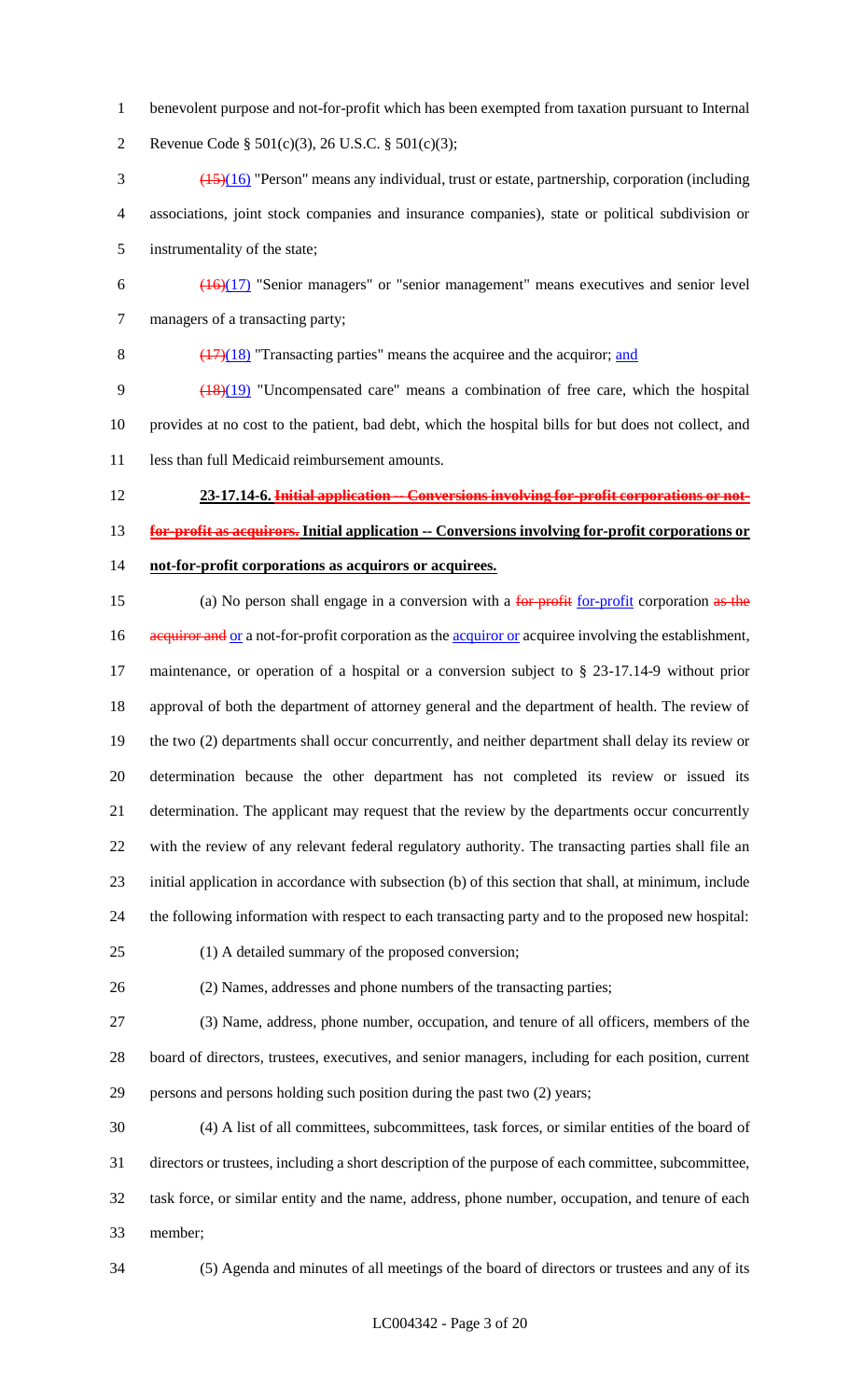benevolent purpose and not-for-profit which has been exempted from taxation pursuant to Internal

Revenue Code § 501(c)(3), 26 U.S.C. § 501(c)(3);

- (15)(16) "Person" means any individual, trust or estate, partnership, corporation (including associations, joint stock companies and insurance companies), state or political subdivision or instrumentality of the state;
- $\frac{(16)(17)}{2}$  "Senior managers" or "senior management" means executives and senior level managers of a transacting party;

8  $\left(\frac{(17)}{(18)}\right)$  "Transacting parties" means the acquiree and the acquiror; and

 (18)(19) "Uncompensated care" means a combination of free care, which the hospital provides at no cost to the patient, bad debt, which the hospital bills for but does not collect, and 11 less than full Medicaid reimbursement amounts.

- **23-17.14-6. Initial application -- Conversions involving for-profit corporations or not- for-profit as acquirors. Initial application -- Conversions involving for-profit corporations or not-for-profit corporations as acquirors or acquirees.**
- 
- 15 (a) No person shall engage in a conversion with a for profit for-profit corporation as the

16 acquiror and or a not-for-profit corporation as the acquiror or acquiree involving the establishment, maintenance, or operation of a hospital or a conversion subject to § 23-17.14-9 without prior approval of both the department of attorney general and the department of health. The review of the two (2) departments shall occur concurrently, and neither department shall delay its review or determination because the other department has not completed its review or issued its determination. The applicant may request that the review by the departments occur concurrently with the review of any relevant federal regulatory authority. The transacting parties shall file an initial application in accordance with subsection (b) of this section that shall, at minimum, include the following information with respect to each transacting party and to the proposed new hospital:

- 
- (1) A detailed summary of the proposed conversion;

(2) Names, addresses and phone numbers of the transacting parties;

 (3) Name, address, phone number, occupation, and tenure of all officers, members of the board of directors, trustees, executives, and senior managers, including for each position, current persons and persons holding such position during the past two (2) years;

 (4) A list of all committees, subcommittees, task forces, or similar entities of the board of directors or trustees, including a short description of the purpose of each committee, subcommittee, task force, or similar entity and the name, address, phone number, occupation, and tenure of each member;

(5) Agenda and minutes of all meetings of the board of directors or trustees and any of its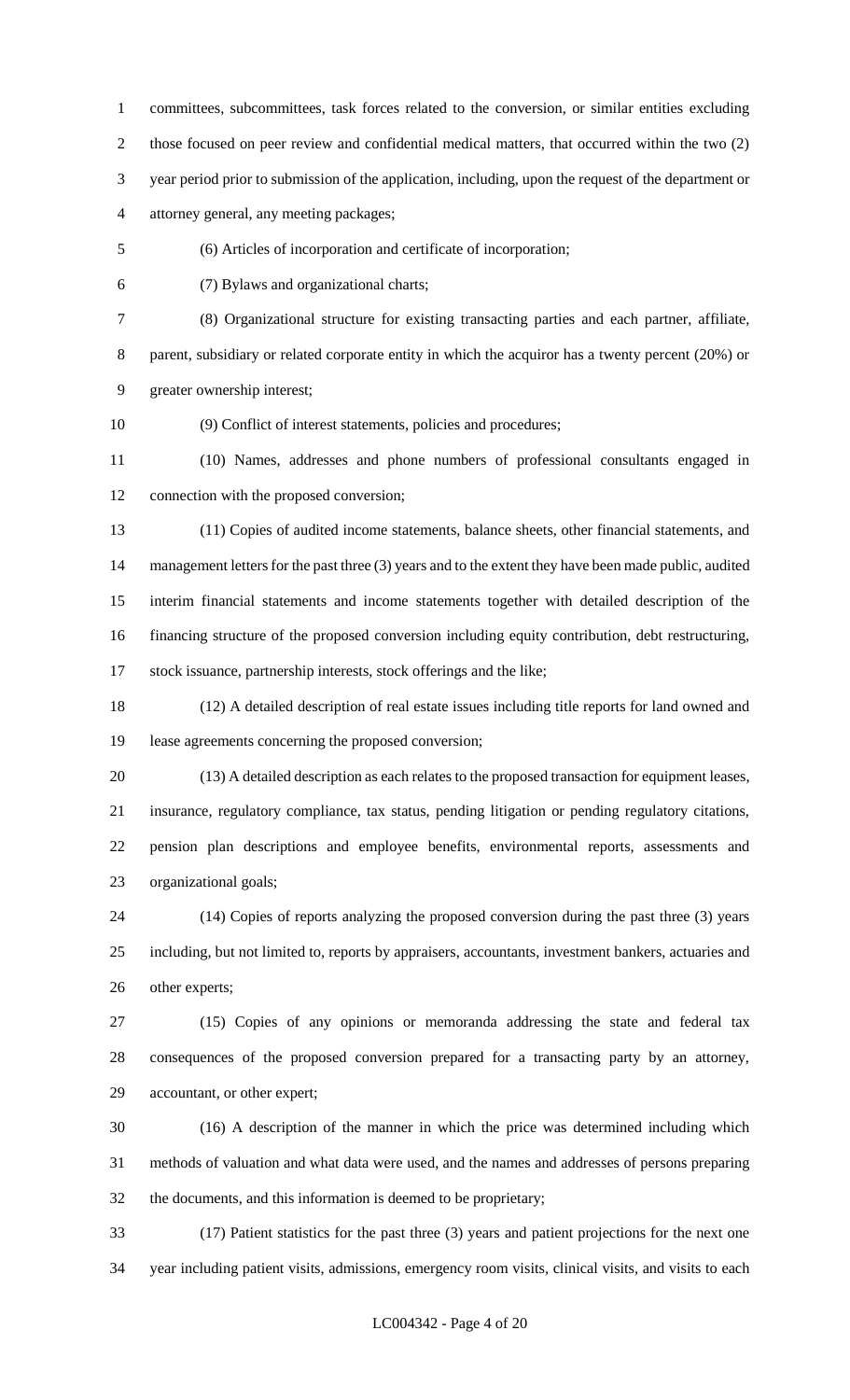committees, subcommittees, task forces related to the conversion, or similar entities excluding those focused on peer review and confidential medical matters, that occurred within the two (2) year period prior to submission of the application, including, upon the request of the department or attorney general, any meeting packages;

(6) Articles of incorporation and certificate of incorporation;

(7) Bylaws and organizational charts;

 (8) Organizational structure for existing transacting parties and each partner, affiliate, parent, subsidiary or related corporate entity in which the acquiror has a twenty percent (20%) or greater ownership interest;

(9) Conflict of interest statements, policies and procedures;

 (10) Names, addresses and phone numbers of professional consultants engaged in connection with the proposed conversion;

 (11) Copies of audited income statements, balance sheets, other financial statements, and 14 management letters for the past three (3) years and to the extent they have been made public, audited interim financial statements and income statements together with detailed description of the financing structure of the proposed conversion including equity contribution, debt restructuring, stock issuance, partnership interests, stock offerings and the like;

 (12) A detailed description of real estate issues including title reports for land owned and lease agreements concerning the proposed conversion;

 (13) A detailed description as each relates to the proposed transaction for equipment leases, insurance, regulatory compliance, tax status, pending litigation or pending regulatory citations, pension plan descriptions and employee benefits, environmental reports, assessments and organizational goals;

 (14) Copies of reports analyzing the proposed conversion during the past three (3) years including, but not limited to, reports by appraisers, accountants, investment bankers, actuaries and other experts;

 (15) Copies of any opinions or memoranda addressing the state and federal tax consequences of the proposed conversion prepared for a transacting party by an attorney, accountant, or other expert;

 (16) A description of the manner in which the price was determined including which methods of valuation and what data were used, and the names and addresses of persons preparing the documents, and this information is deemed to be proprietary;

 (17) Patient statistics for the past three (3) years and patient projections for the next one year including patient visits, admissions, emergency room visits, clinical visits, and visits to each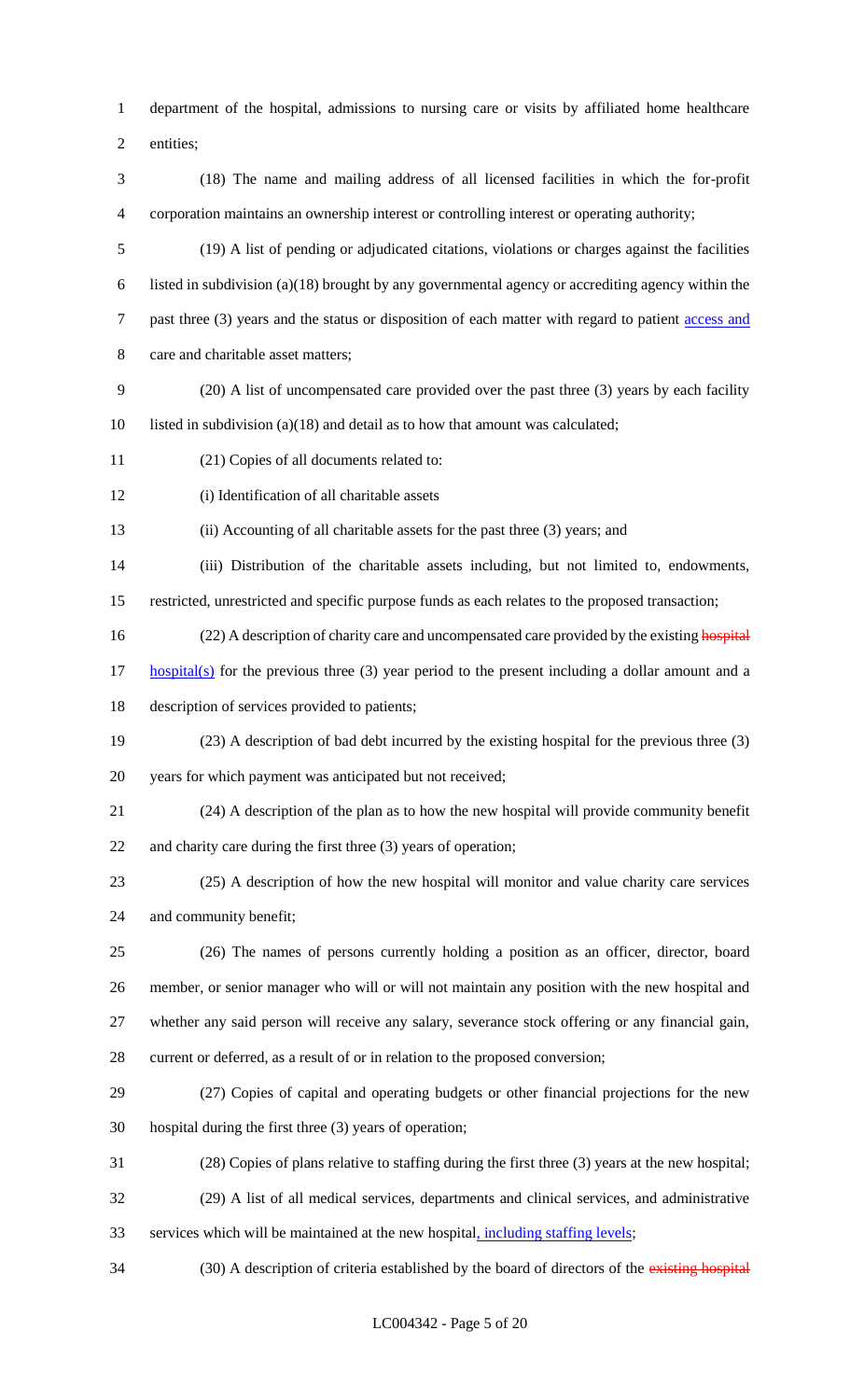department of the hospital, admissions to nursing care or visits by affiliated home healthcare

entities;

 (18) The name and mailing address of all licensed facilities in which the for-profit corporation maintains an ownership interest or controlling interest or operating authority;

 (19) A list of pending or adjudicated citations, violations or charges against the facilities listed in subdivision (a)(18) brought by any governmental agency or accrediting agency within the 7 past three (3) years and the status or disposition of each matter with regard to patient access and care and charitable asset matters;

- (20) A list of uncompensated care provided over the past three (3) years by each facility listed in subdivision (a)(18) and detail as to how that amount was calculated;
- (21) Copies of all documents related to:
- (i) Identification of all charitable assets

(ii) Accounting of all charitable assets for the past three (3) years; and

 (iii) Distribution of the charitable assets including, but not limited to, endowments, restricted, unrestricted and specific purpose funds as each relates to the proposed transaction;

16 (22) A description of charity care and uncompensated care provided by the existing hospital

 hospital(s) for the previous three (3) year period to the present including a dollar amount and a description of services provided to patients;

 (23) A description of bad debt incurred by the existing hospital for the previous three (3) years for which payment was anticipated but not received;

(24) A description of the plan as to how the new hospital will provide community benefit

and charity care during the first three (3) years of operation;

 (25) A description of how the new hospital will monitor and value charity care services and community benefit;

 (26) The names of persons currently holding a position as an officer, director, board member, or senior manager who will or will not maintain any position with the new hospital and whether any said person will receive any salary, severance stock offering or any financial gain, current or deferred, as a result of or in relation to the proposed conversion;

- (27) Copies of capital and operating budgets or other financial projections for the new hospital during the first three (3) years of operation;
- (28) Copies of plans relative to staffing during the first three (3) years at the new hospital;
- (29) A list of all medical services, departments and clinical services, and administrative services which will be maintained at the new hospital, including staffing levels;

34 (30) A description of criteria established by the board of directors of the existing hospital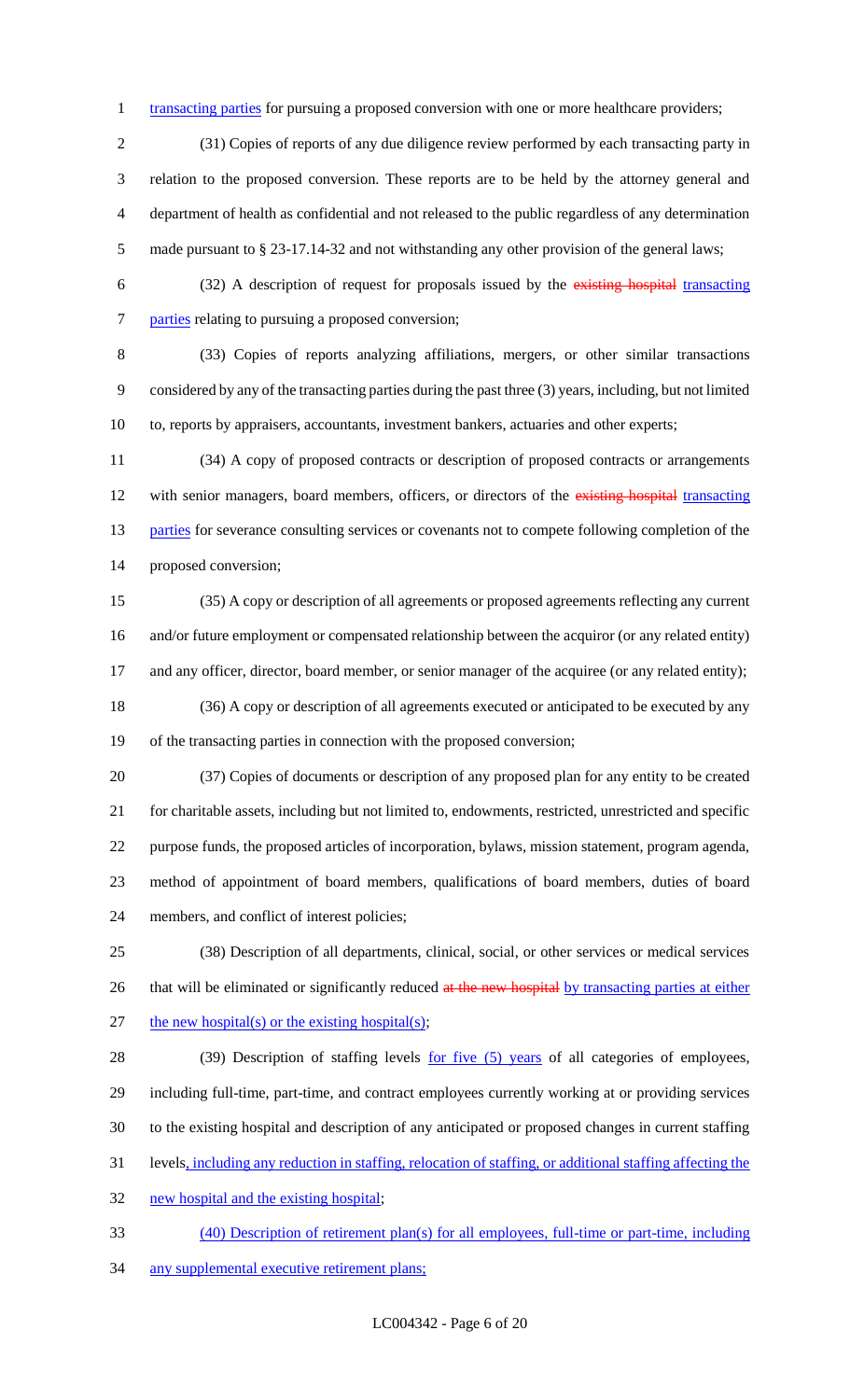1 transacting parties for pursuing a proposed conversion with one or more healthcare providers;

 (31) Copies of reports of any due diligence review performed by each transacting party in relation to the proposed conversion. These reports are to be held by the attorney general and department of health as confidential and not released to the public regardless of any determination made pursuant to § 23-17.14-32 and not withstanding any other provision of the general laws;

 (32) A description of request for proposals issued by the existing hospital transacting 7 parties relating to pursuing a proposed conversion;

 (33) Copies of reports analyzing affiliations, mergers, or other similar transactions considered by any of the transacting parties during the past three (3) years, including, but not limited to, reports by appraisers, accountants, investment bankers, actuaries and other experts;

 (34) A copy of proposed contracts or description of proposed contracts or arrangements 12 with senior managers, board members, officers, or directors of the existing hospital transacting 13 parties for severance consulting services or covenants not to compete following completion of the proposed conversion;

 (35) A copy or description of all agreements or proposed agreements reflecting any current and/or future employment or compensated relationship between the acquiror (or any related entity) 17 and any officer, director, board member, or senior manager of the acquiree (or any related entity);

 (36) A copy or description of all agreements executed or anticipated to be executed by any of the transacting parties in connection with the proposed conversion;

 (37) Copies of documents or description of any proposed plan for any entity to be created for charitable assets, including but not limited to, endowments, restricted, unrestricted and specific purpose funds, the proposed articles of incorporation, bylaws, mission statement, program agenda, method of appointment of board members, qualifications of board members, duties of board members, and conflict of interest policies;

 (38) Description of all departments, clinical, social, or other services or medical services 26 that will be eliminated or significantly reduced at the new hospital by transacting parties at either 27 the new hospital(s) or the existing hospital(s);

28 (39) Description of staffing levels for five (5) years of all categories of employees, including full-time, part-time, and contract employees currently working at or providing services to the existing hospital and description of any anticipated or proposed changes in current staffing levels, including any reduction in staffing, relocation of staffing, or additional staffing affecting the new hospital and the existing hospital;

 (40) Description of retirement plan(s) for all employees, full-time or part-time, including any supplemental executive retirement plans;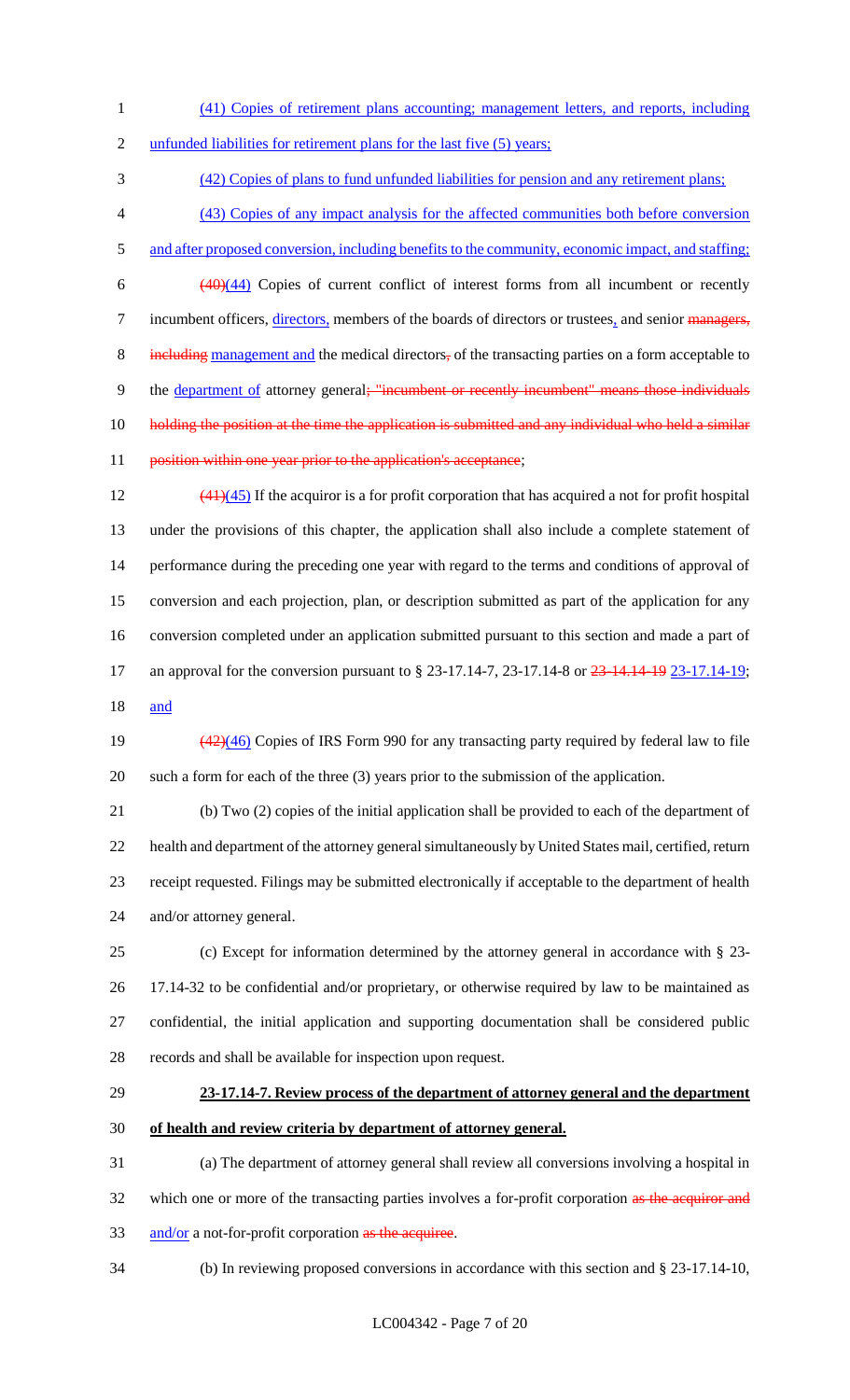- 1 (41) Copies of retirement plans accounting; management letters, and reports, including
- 2 unfunded liabilities for retirement plans for the last five (5) years;

3 (42) Copies of plans to fund unfunded liabilities for pension and any retirement plans;

- 4 (43) Copies of any impact analysis for the affected communities both before conversion
- 5 and after proposed conversion, including benefits to the community, economic impact, and staffing;

 $\frac{(40)(44)}{20}$  Copies of current conflict of interest forms from all incumbent or recently 7 incumbent officers, directors, members of the boards of directors or trustees, and senior managers, 8 including management and the medical directors, of the transacting parties on a form acceptable to 9 the department of attorney general; "incumbent or recently incumbent" means those individuals 10 holding the position at the time the application is submitted and any individual who held a similar 11 position within one year prior to the application's acceptance;

 $\left(41\right)\left(45\right)$  If the acquiror is a for profit corporation that has acquired a not for profit hospital under the provisions of this chapter, the application shall also include a complete statement of performance during the preceding one year with regard to the terms and conditions of approval of conversion and each projection, plan, or description submitted as part of the application for any conversion completed under an application submitted pursuant to this section and made a part of

17 an approval for the conversion pursuant to § 23-17.14-7, 23-17.14-8 or 23-14.14-19 23-17.14-19;

18 and

19 (42)(46) Copies of IRS Form 990 for any transacting party required by federal law to file 20 such a form for each of the three (3) years prior to the submission of the application.

 (b) Two (2) copies of the initial application shall be provided to each of the department of health and department of the attorney general simultaneously by United States mail, certified, return receipt requested. Filings may be submitted electronically if acceptable to the department of health and/or attorney general.

 (c) Except for information determined by the attorney general in accordance with § 23- 17.14-32 to be confidential and/or proprietary, or otherwise required by law to be maintained as confidential, the initial application and supporting documentation shall be considered public records and shall be available for inspection upon request.

# 29 **23-17.14-7. Review process of the department of attorney general and the department**

30 **of health and review criteria by department of attorney general.**

31 (a) The department of attorney general shall review all conversions involving a hospital in 32 which one or more of the transacting parties involves a for-profit corporation as the acquiror and 33 and/or a not-for-profit corporation as the acquiree.

34 (b) In reviewing proposed conversions in accordance with this section and § 23-17.14-10,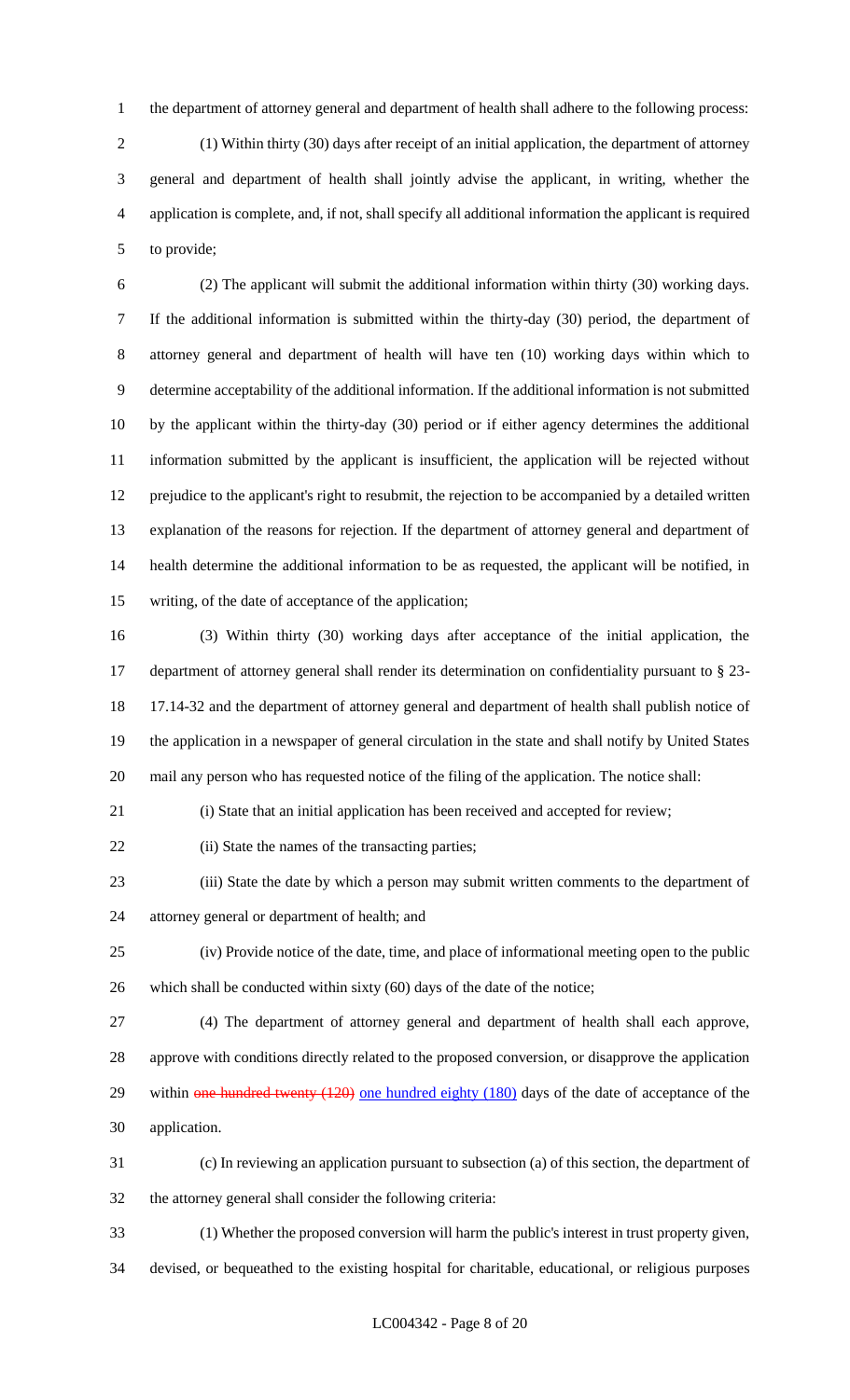the department of attorney general and department of health shall adhere to the following process:

 (1) Within thirty (30) days after receipt of an initial application, the department of attorney general and department of health shall jointly advise the applicant, in writing, whether the application is complete, and, if not, shall specify all additional information the applicant is required to provide;

 (2) The applicant will submit the additional information within thirty (30) working days. If the additional information is submitted within the thirty-day (30) period, the department of attorney general and department of health will have ten (10) working days within which to determine acceptability of the additional information. If the additional information is not submitted by the applicant within the thirty-day (30) period or if either agency determines the additional information submitted by the applicant is insufficient, the application will be rejected without prejudice to the applicant's right to resubmit, the rejection to be accompanied by a detailed written explanation of the reasons for rejection. If the department of attorney general and department of health determine the additional information to be as requested, the applicant will be notified, in writing, of the date of acceptance of the application;

 (3) Within thirty (30) working days after acceptance of the initial application, the department of attorney general shall render its determination on confidentiality pursuant to § 23- 17.14-32 and the department of attorney general and department of health shall publish notice of the application in a newspaper of general circulation in the state and shall notify by United States mail any person who has requested notice of the filing of the application. The notice shall:

(i) State that an initial application has been received and accepted for review;

22 (ii) State the names of the transacting parties;

 (iii) State the date by which a person may submit written comments to the department of attorney general or department of health; and

 (iv) Provide notice of the date, time, and place of informational meeting open to the public 26 which shall be conducted within sixty (60) days of the date of the notice;

 (4) The department of attorney general and department of health shall each approve, approve with conditions directly related to the proposed conversion, or disapprove the application 29 within one hundred twenty (120) one hundred eighty (180) days of the date of acceptance of the application.

 (c) In reviewing an application pursuant to subsection (a) of this section, the department of the attorney general shall consider the following criteria:

 (1) Whether the proposed conversion will harm the public's interest in trust property given, devised, or bequeathed to the existing hospital for charitable, educational, or religious purposes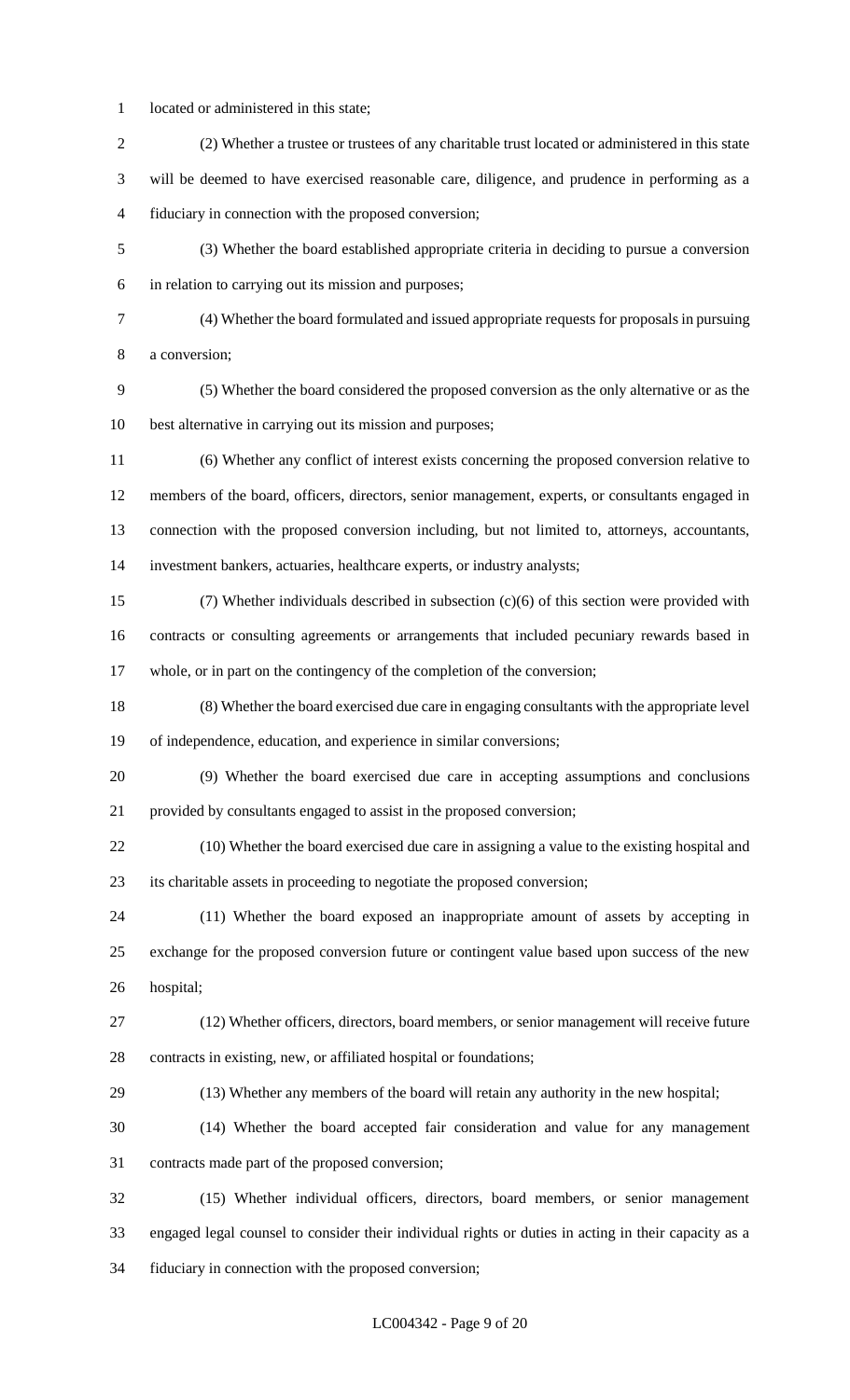- located or administered in this state;
- (2) Whether a trustee or trustees of any charitable trust located or administered in this state will be deemed to have exercised reasonable care, diligence, and prudence in performing as a fiduciary in connection with the proposed conversion; (3) Whether the board established appropriate criteria in deciding to pursue a conversion in relation to carrying out its mission and purposes; (4) Whether the board formulated and issued appropriate requests for proposals in pursuing a conversion; (5) Whether the board considered the proposed conversion as the only alternative or as the best alternative in carrying out its mission and purposes; (6) Whether any conflict of interest exists concerning the proposed conversion relative to members of the board, officers, directors, senior management, experts, or consultants engaged in connection with the proposed conversion including, but not limited to, attorneys, accountants, investment bankers, actuaries, healthcare experts, or industry analysts; (7) Whether individuals described in subsection (c)(6) of this section were provided with contracts or consulting agreements or arrangements that included pecuniary rewards based in whole, or in part on the contingency of the completion of the conversion; (8) Whether the board exercised due care in engaging consultants with the appropriate level of independence, education, and experience in similar conversions; (9) Whether the board exercised due care in accepting assumptions and conclusions provided by consultants engaged to assist in the proposed conversion; (10) Whether the board exercised due care in assigning a value to the existing hospital and its charitable assets in proceeding to negotiate the proposed conversion; (11) Whether the board exposed an inappropriate amount of assets by accepting in exchange for the proposed conversion future or contingent value based upon success of the new hospital; (12) Whether officers, directors, board members, or senior management will receive future contracts in existing, new, or affiliated hospital or foundations; (13) Whether any members of the board will retain any authority in the new hospital; (14) Whether the board accepted fair consideration and value for any management contracts made part of the proposed conversion; (15) Whether individual officers, directors, board members, or senior management engaged legal counsel to consider their individual rights or duties in acting in their capacity as a

fiduciary in connection with the proposed conversion;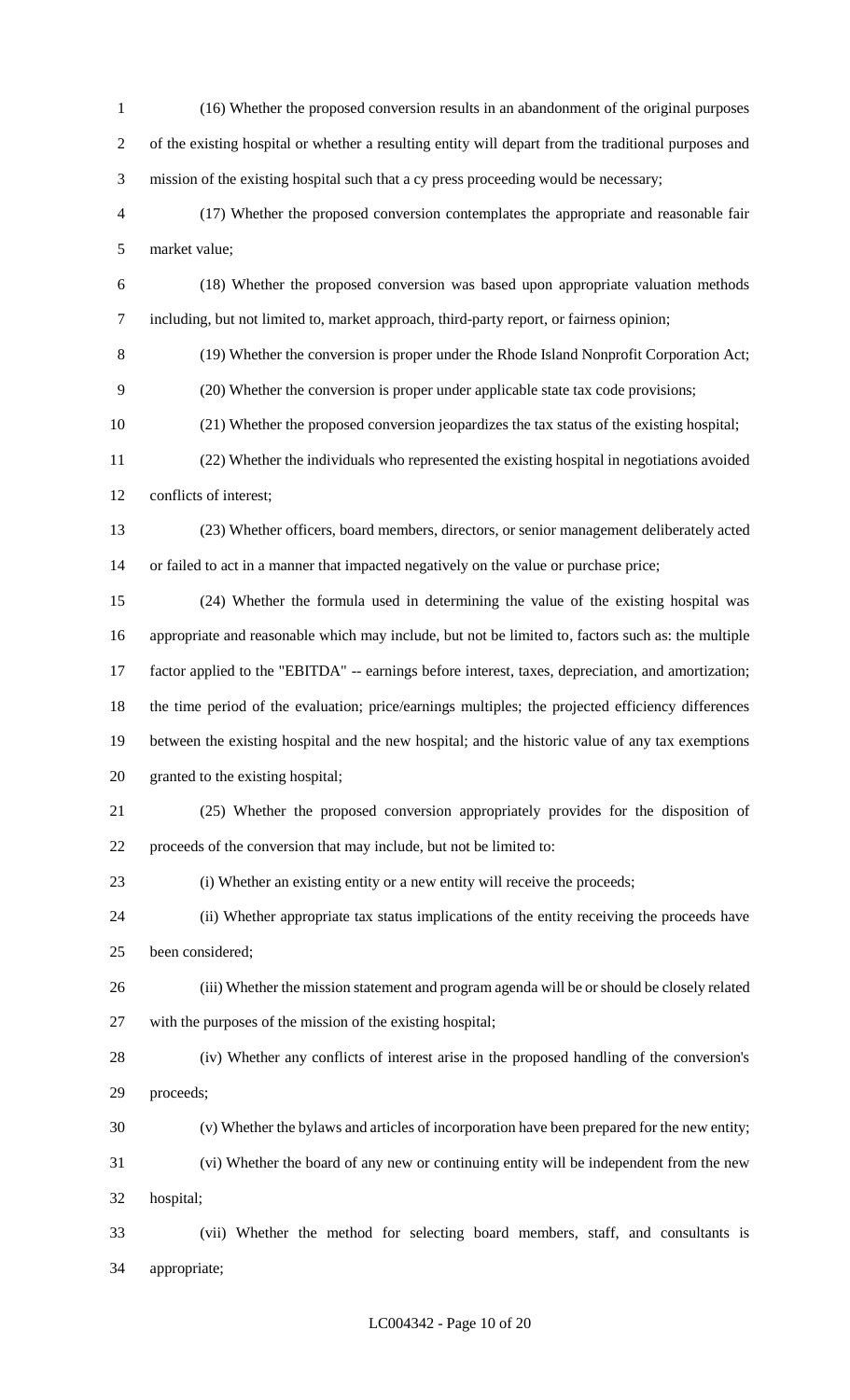(16) Whether the proposed conversion results in an abandonment of the original purposes of the existing hospital or whether a resulting entity will depart from the traditional purposes and mission of the existing hospital such that a cy press proceeding would be necessary; (17) Whether the proposed conversion contemplates the appropriate and reasonable fair market value; (18) Whether the proposed conversion was based upon appropriate valuation methods including, but not limited to, market approach, third-party report, or fairness opinion; (19) Whether the conversion is proper under the Rhode Island Nonprofit Corporation Act; (20) Whether the conversion is proper under applicable state tax code provisions; (21) Whether the proposed conversion jeopardizes the tax status of the existing hospital; (22) Whether the individuals who represented the existing hospital in negotiations avoided conflicts of interest; (23) Whether officers, board members, directors, or senior management deliberately acted 14 or failed to act in a manner that impacted negatively on the value or purchase price; (24) Whether the formula used in determining the value of the existing hospital was appropriate and reasonable which may include, but not be limited to, factors such as: the multiple factor applied to the "EBITDA" -- earnings before interest, taxes, depreciation, and amortization; the time period of the evaluation; price/earnings multiples; the projected efficiency differences between the existing hospital and the new hospital; and the historic value of any tax exemptions granted to the existing hospital; (25) Whether the proposed conversion appropriately provides for the disposition of proceeds of the conversion that may include, but not be limited to: (i) Whether an existing entity or a new entity will receive the proceeds; (ii) Whether appropriate tax status implications of the entity receiving the proceeds have been considered; (iii) Whether the mission statement and program agenda will be or should be closely related with the purposes of the mission of the existing hospital; (iv) Whether any conflicts of interest arise in the proposed handling of the conversion's proceeds; (v) Whether the bylaws and articles of incorporation have been prepared for the new entity; (vi) Whether the board of any new or continuing entity will be independent from the new hospital; (vii) Whether the method for selecting board members, staff, and consultants is appropriate;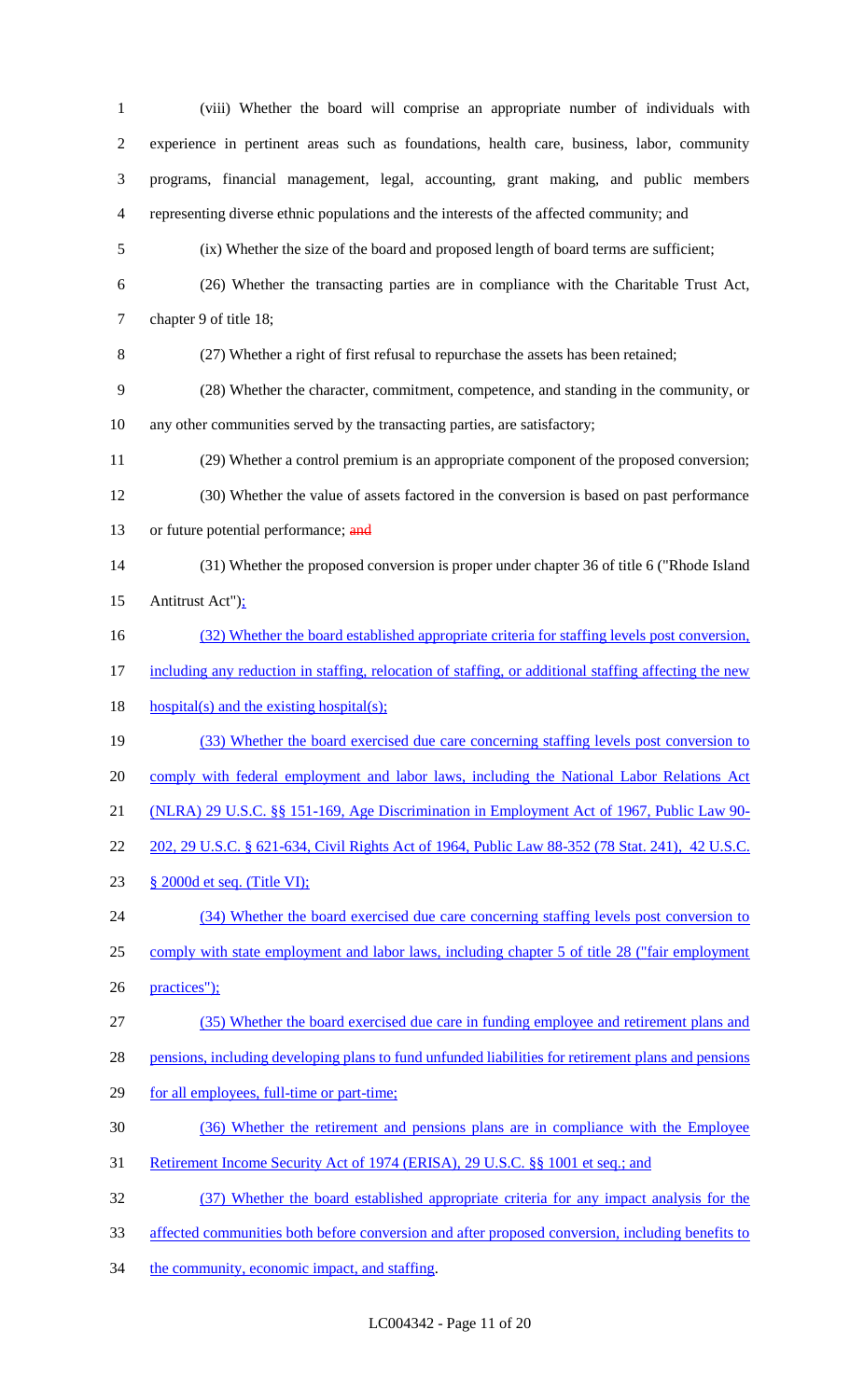(viii) Whether the board will comprise an appropriate number of individuals with experience in pertinent areas such as foundations, health care, business, labor, community programs, financial management, legal, accounting, grant making, and public members representing diverse ethnic populations and the interests of the affected community; and (ix) Whether the size of the board and proposed length of board terms are sufficient; (26) Whether the transacting parties are in compliance with the Charitable Trust Act, chapter 9 of title 18; (27) Whether a right of first refusal to repurchase the assets has been retained; (28) Whether the character, commitment, competence, and standing in the community, or any other communities served by the transacting parties, are satisfactory; (29) Whether a control premium is an appropriate component of the proposed conversion; (30) Whether the value of assets factored in the conversion is based on past performance 13 or future potential performance; and (31) Whether the proposed conversion is proper under chapter 36 of title 6 ("Rhode Island 15 Antitrust Act"); (32) Whether the board established appropriate criteria for staffing levels post conversion, including any reduction in staffing, relocation of staffing, or additional staffing affecting the new 18 hospital(s) and the existing hospital(s); (33) Whether the board exercised due care concerning staffing levels post conversion to 20 comply with federal employment and labor laws, including the National Labor Relations Act (NLRA) 29 U.S.C. §§ 151-169, Age Discrimination in Employment Act of 1967, Public Law 90- 202, 29 U.S.C. § 621-634, Civil Rights Act of 1964, Public Law 88-352 (78 Stat. 241), 42 U.S.C. § 2000d et seq. (Title VI); (34) Whether the board exercised due care concerning staffing levels post conversion to 25 comply with state employment and labor laws, including chapter 5 of title 28 ("fair employment practices"); (35) Whether the board exercised due care in funding employee and retirement plans and pensions, including developing plans to fund unfunded liabilities for retirement plans and pensions 29 for all employees, full-time or part-time; (36) Whether the retirement and pensions plans are in compliance with the Employee Retirement Income Security Act of 1974 (ERISA), 29 U.S.C. §§ 1001 et seq.; and (37) Whether the board established appropriate criteria for any impact analysis for the affected communities both before conversion and after proposed conversion, including benefits to 34 the community, economic impact, and staffing.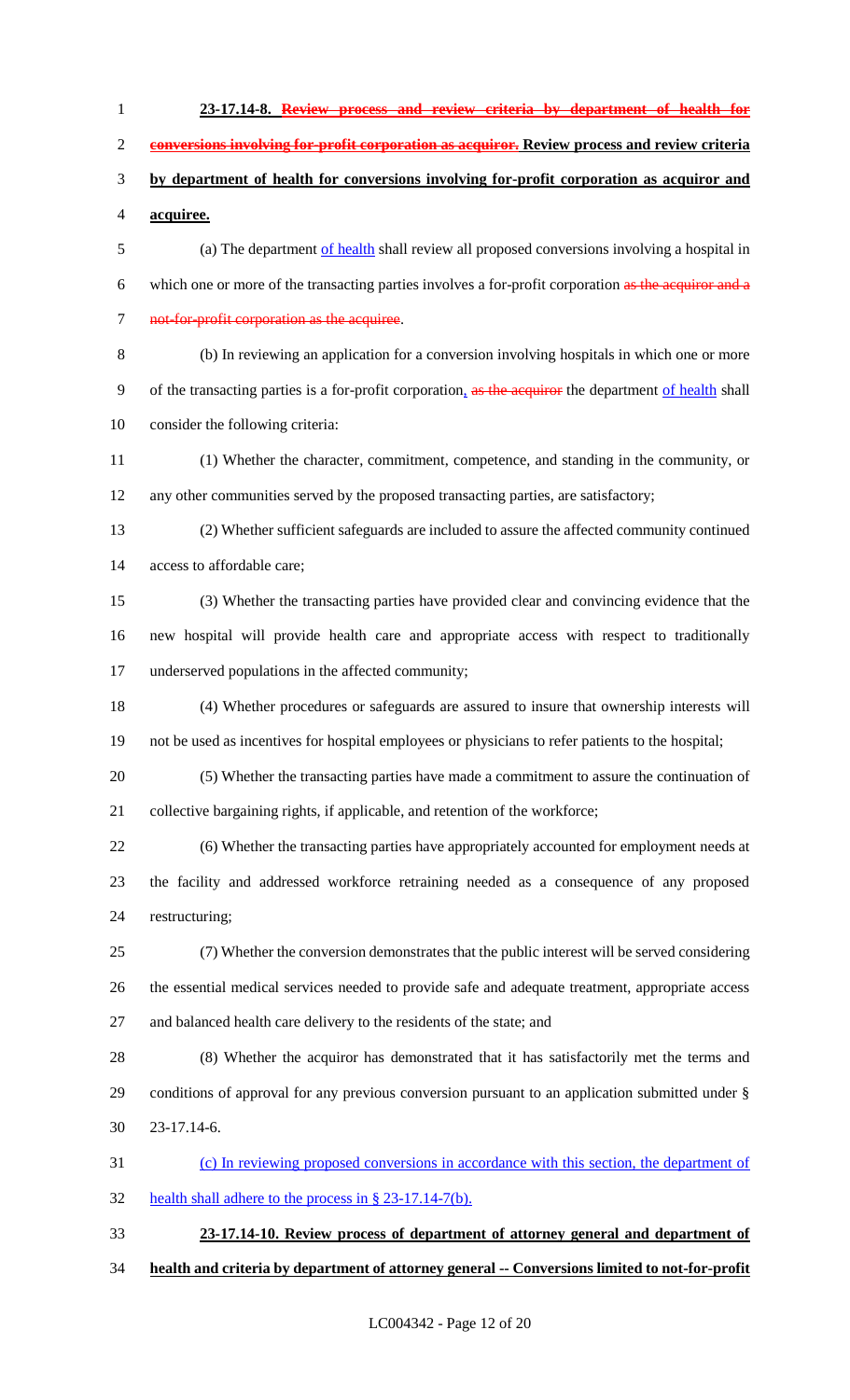**23-17.14-8. Review process and review criteria by department of health for conversions involving for-profit corporation as acquiror. Review process and review criteria by department of health for conversions involving for-profit corporation as acquiror and acquiree.** (a) The department of health shall review all proposed conversions involving a hospital in which one or more of the transacting parties involves a for-profit corporation as the acquiror and a 7 not-for-profit corporation as the acquiree. (b) In reviewing an application for a conversion involving hospitals in which one or more 9 of the transacting parties is a for-profit corporation, as the acquiror the department of health shall consider the following criteria: (1) Whether the character, commitment, competence, and standing in the community, or any other communities served by the proposed transacting parties, are satisfactory; (2) Whether sufficient safeguards are included to assure the affected community continued access to affordable care; (3) Whether the transacting parties have provided clear and convincing evidence that the new hospital will provide health care and appropriate access with respect to traditionally underserved populations in the affected community; (4) Whether procedures or safeguards are assured to insure that ownership interests will not be used as incentives for hospital employees or physicians to refer patients to the hospital; (5) Whether the transacting parties have made a commitment to assure the continuation of collective bargaining rights, if applicable, and retention of the workforce; (6) Whether the transacting parties have appropriately accounted for employment needs at the facility and addressed workforce retraining needed as a consequence of any proposed restructuring; (7) Whether the conversion demonstrates that the public interest will be served considering the essential medical services needed to provide safe and adequate treatment, appropriate access and balanced health care delivery to the residents of the state; and (8) Whether the acquiror has demonstrated that it has satisfactorily met the terms and conditions of approval for any previous conversion pursuant to an application submitted under § 23-17.14-6. (c) In reviewing proposed conversions in accordance with this section, the department of health shall adhere to the process in § 23-17.14-7(b). **23-17.14-10. Review process of department of attorney general and department of health and criteria by department of attorney general -- Conversions limited to not-for-profit**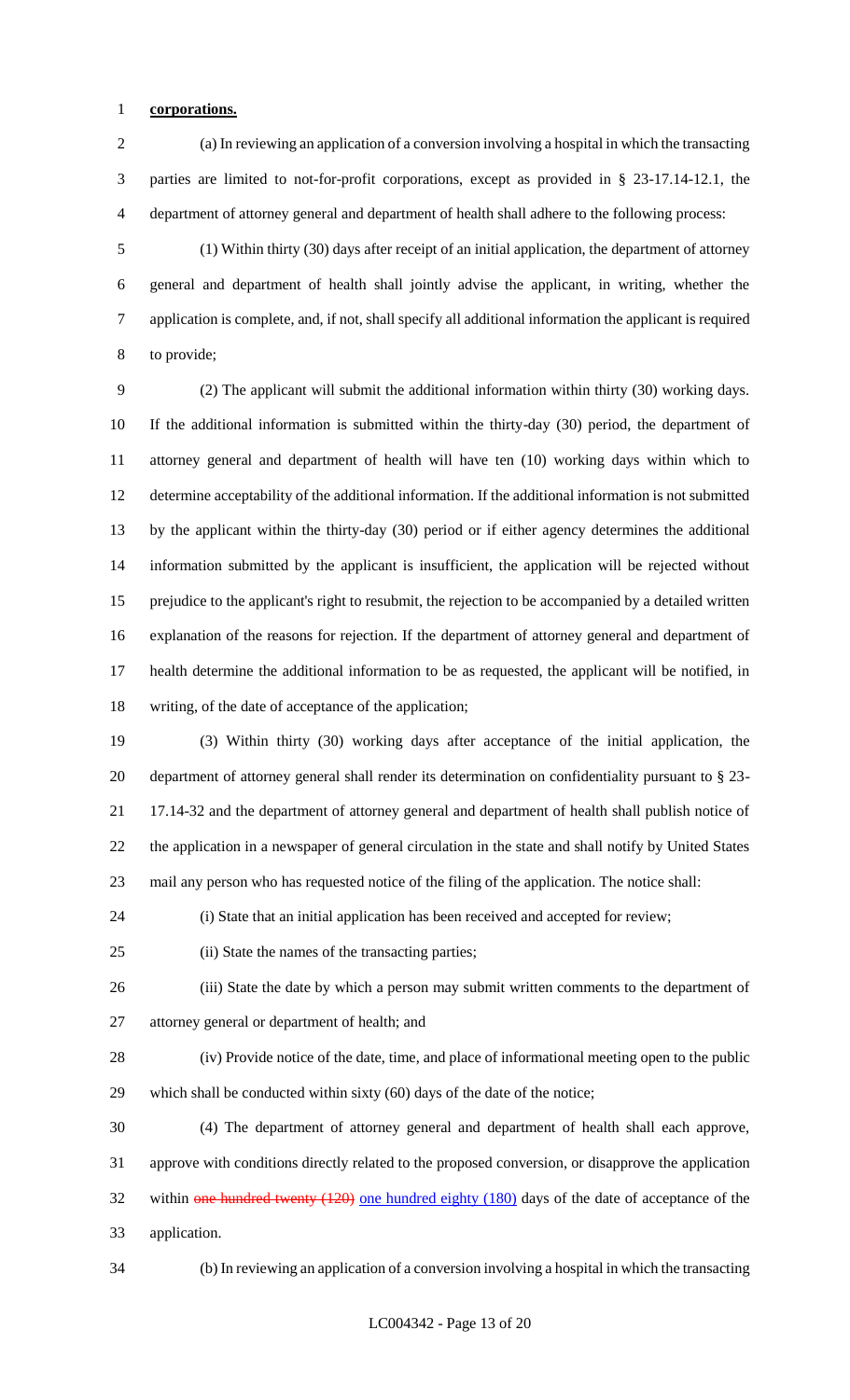# **corporations.**

 (a) In reviewing an application of a conversion involving a hospital in which the transacting parties are limited to not-for-profit corporations, except as provided in § 23-17.14-12.1, the department of attorney general and department of health shall adhere to the following process:

 (1) Within thirty (30) days after receipt of an initial application, the department of attorney general and department of health shall jointly advise the applicant, in writing, whether the application is complete, and, if not, shall specify all additional information the applicant is required to provide;

 (2) The applicant will submit the additional information within thirty (30) working days. If the additional information is submitted within the thirty-day (30) period, the department of attorney general and department of health will have ten (10) working days within which to determine acceptability of the additional information. If the additional information is not submitted by the applicant within the thirty-day (30) period or if either agency determines the additional information submitted by the applicant is insufficient, the application will be rejected without prejudice to the applicant's right to resubmit, the rejection to be accompanied by a detailed written explanation of the reasons for rejection. If the department of attorney general and department of health determine the additional information to be as requested, the applicant will be notified, in writing, of the date of acceptance of the application;

 (3) Within thirty (30) working days after acceptance of the initial application, the department of attorney general shall render its determination on confidentiality pursuant to § 23- 17.14-32 and the department of attorney general and department of health shall publish notice of the application in a newspaper of general circulation in the state and shall notify by United States mail any person who has requested notice of the filing of the application. The notice shall:

(i) State that an initial application has been received and accepted for review;

(ii) State the names of the transacting parties;

 (iii) State the date by which a person may submit written comments to the department of attorney general or department of health; and

 (iv) Provide notice of the date, time, and place of informational meeting open to the public which shall be conducted within sixty (60) days of the date of the notice;

 (4) The department of attorney general and department of health shall each approve, approve with conditions directly related to the proposed conversion, or disapprove the application 32 within one hundred twenty (120) one hundred eighty (180) days of the date of acceptance of the application.

(b) In reviewing an application of a conversion involving a hospital in which the transacting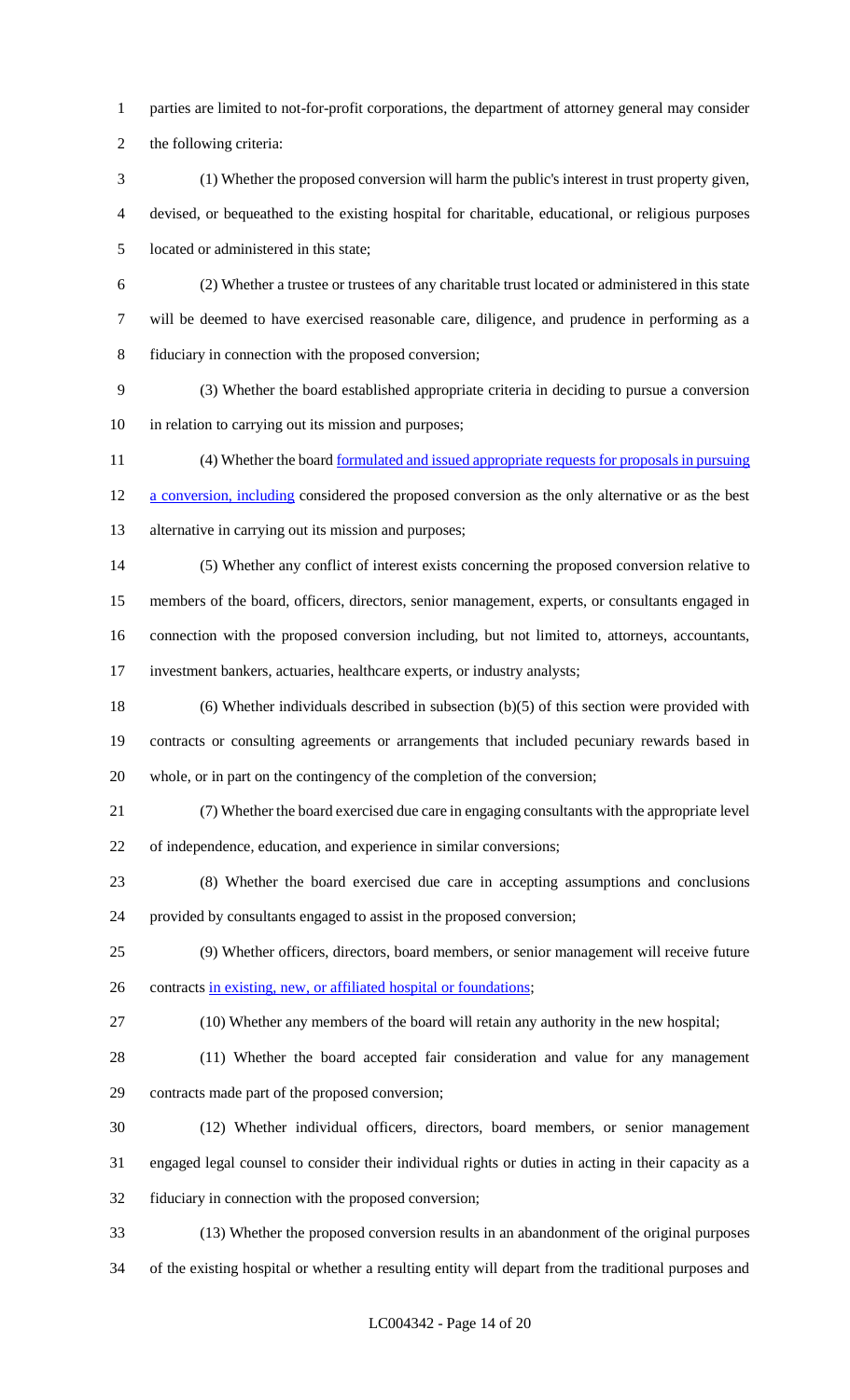parties are limited to not-for-profit corporations, the department of attorney general may consider

the following criteria:

- (1) Whether the proposed conversion will harm the public's interest in trust property given, devised, or bequeathed to the existing hospital for charitable, educational, or religious purposes located or administered in this state;
- 
- (2) Whether a trustee or trustees of any charitable trust located or administered in this state will be deemed to have exercised reasonable care, diligence, and prudence in performing as a fiduciary in connection with the proposed conversion;
- (3) Whether the board established appropriate criteria in deciding to pursue a conversion in relation to carrying out its mission and purposes;
- 11 (4) Whether the board <u>formulated and issued appropriate requests for proposals in pursuing</u> 12 a conversion, including considered the proposed conversion as the only alternative or as the best alternative in carrying out its mission and purposes;
- (5) Whether any conflict of interest exists concerning the proposed conversion relative to members of the board, officers, directors, senior management, experts, or consultants engaged in connection with the proposed conversion including, but not limited to, attorneys, accountants,
- investment bankers, actuaries, healthcare experts, or industry analysts;
- (6) Whether individuals described in subsection (b)(5) of this section were provided with contracts or consulting agreements or arrangements that included pecuniary rewards based in whole, or in part on the contingency of the completion of the conversion;
- (7) Whether the board exercised due care in engaging consultants with the appropriate level of independence, education, and experience in similar conversions;
- (8) Whether the board exercised due care in accepting assumptions and conclusions provided by consultants engaged to assist in the proposed conversion;
- (9) Whether officers, directors, board members, or senior management will receive future 26 contracts in existing, new, or affiliated hospital or foundations;
- 
- (10) Whether any members of the board will retain any authority in the new hospital;
- (11) Whether the board accepted fair consideration and value for any management contracts made part of the proposed conversion;
- (12) Whether individual officers, directors, board members, or senior management engaged legal counsel to consider their individual rights or duties in acting in their capacity as a fiduciary in connection with the proposed conversion;
- (13) Whether the proposed conversion results in an abandonment of the original purposes
- of the existing hospital or whether a resulting entity will depart from the traditional purposes and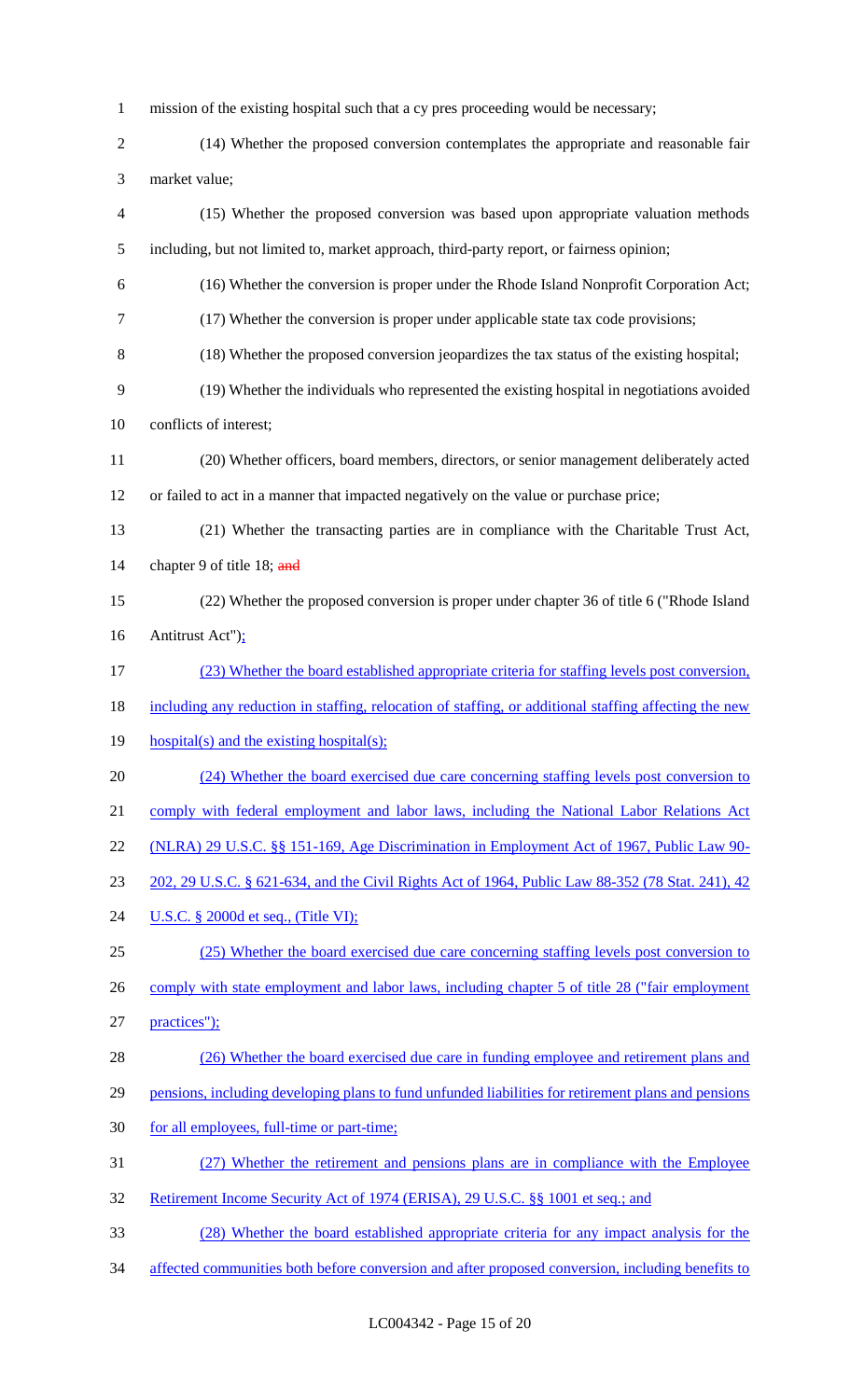- mission of the existing hospital such that a cy pres proceeding would be necessary;
- (14) Whether the proposed conversion contemplates the appropriate and reasonable fair market value;
- (15) Whether the proposed conversion was based upon appropriate valuation methods including, but not limited to, market approach, third-party report, or fairness opinion;
- (16) Whether the conversion is proper under the Rhode Island Nonprofit Corporation Act;
- (17) Whether the conversion is proper under applicable state tax code provisions;
- (18) Whether the proposed conversion jeopardizes the tax status of the existing hospital;
- (19) Whether the individuals who represented the existing hospital in negotiations avoided
- conflicts of interest;
- (20) Whether officers, board members, directors, or senior management deliberately acted or failed to act in a manner that impacted negatively on the value or purchase price;
- (21) Whether the transacting parties are in compliance with the Charitable Trust Act, 14 chapter 9 of title 18; and
- (22) Whether the proposed conversion is proper under chapter 36 of title 6 ("Rhode Island Antitrust Act");
- (23) Whether the board established appropriate criteria for staffing levels post conversion,
- including any reduction in staffing, relocation of staffing, or additional staffing affecting the new
- 19 hospital(s) and the existing hospital(s);
- (24) Whether the board exercised due care concerning staffing levels post conversion to
- 21 comply with federal employment and labor laws, including the National Labor Relations Act
- (NLRA) 29 U.S.C. §§ 151-169, Age Discrimination in Employment Act of 1967, Public Law 90-
- 202, 29 U.S.C. § 621-634, and the Civil Rights Act of 1964, Public Law 88-352 (78 Stat. 241), 42
- **U.S.C.** § 2000d et seq., (Title VI);
- (25) Whether the board exercised due care concerning staffing levels post conversion to 26 comply with state employment and labor laws, including chapter 5 of title 28 ("fair employment
- 27 practices");
- (26) Whether the board exercised due care in funding employee and retirement plans and
- 29 pensions, including developing plans to fund unfunded liabilities for retirement plans and pensions
- 30 for all employees, full-time or part-time;
- (27) Whether the retirement and pensions plans are in compliance with the Employee
- Retirement Income Security Act of 1974 (ERISA), 29 U.S.C. §§ 1001 et seq.; and
- (28) Whether the board established appropriate criteria for any impact analysis for the
- 34 affected communities both before conversion and after proposed conversion, including benefits to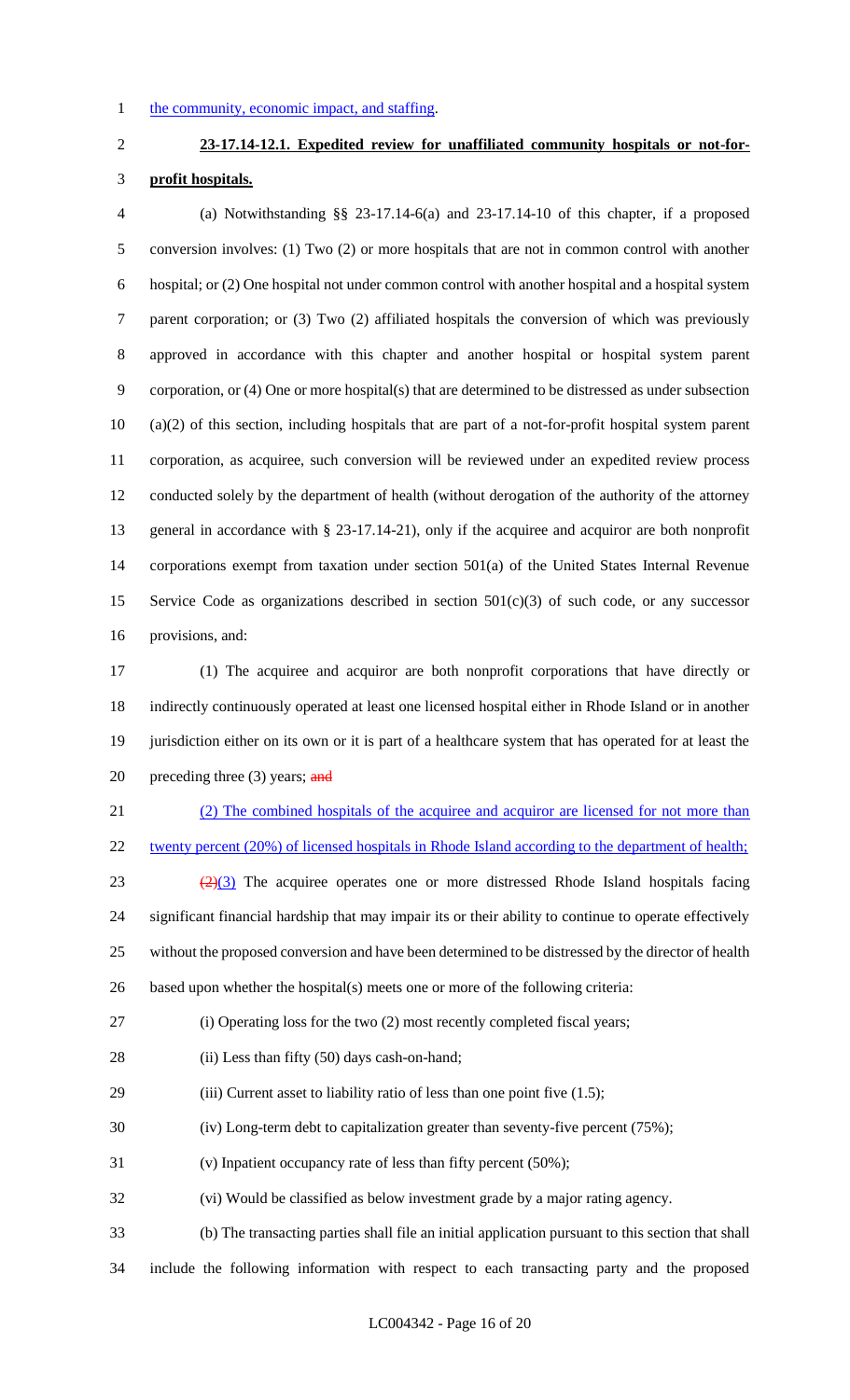### 1 the community, economic impact, and staffing.

# **23-17.14-12.1. Expedited review for unaffiliated community hospitals or not-for-**

### **profit hospitals.**

 (a) Notwithstanding §§ 23-17.14-6(a) and 23-17.14-10 of this chapter, if a proposed conversion involves: (1) Two (2) or more hospitals that are not in common control with another hospital; or (2) One hospital not under common control with another hospital and a hospital system parent corporation; or (3) Two (2) affiliated hospitals the conversion of which was previously approved in accordance with this chapter and another hospital or hospital system parent corporation, or (4) One or more hospital(s) that are determined to be distressed as under subsection (a)(2) of this section, including hospitals that are part of a not-for-profit hospital system parent corporation, as acquiree, such conversion will be reviewed under an expedited review process conducted solely by the department of health (without derogation of the authority of the attorney general in accordance with § 23-17.14-21), only if the acquiree and acquiror are both nonprofit corporations exempt from taxation under section 501(a) of the United States Internal Revenue 15 Service Code as organizations described in section  $501(c)(3)$  of such code, or any successor provisions, and:

 (1) The acquiree and acquiror are both nonprofit corporations that have directly or indirectly continuously operated at least one licensed hospital either in Rhode Island or in another jurisdiction either on its own or it is part of a healthcare system that has operated for at least the 20 preceding three (3) years; and

 (2) The combined hospitals of the acquiree and acquiror are licensed for not more than 22 twenty percent (20%) of licensed hospitals in Rhode Island according to the department of health;

 $\left(\frac{2}{3}\right)$  The acquiree operates one or more distressed Rhode Island hospitals facing significant financial hardship that may impair its or their ability to continue to operate effectively without the proposed conversion and have been determined to be distressed by the director of health based upon whether the hospital(s) meets one or more of the following criteria:

(i) Operating loss for the two (2) most recently completed fiscal years;

- 28 (ii) Less than fifty (50) days cash-on-hand;
- (iii) Current asset to liability ratio of less than one point five (1.5);

(iv) Long-term debt to capitalization greater than seventy-five percent (75%);

- (v) Inpatient occupancy rate of less than fifty percent (50%);
- (vi) Would be classified as below investment grade by a major rating agency.
- (b) The transacting parties shall file an initial application pursuant to this section that shall
- include the following information with respect to each transacting party and the proposed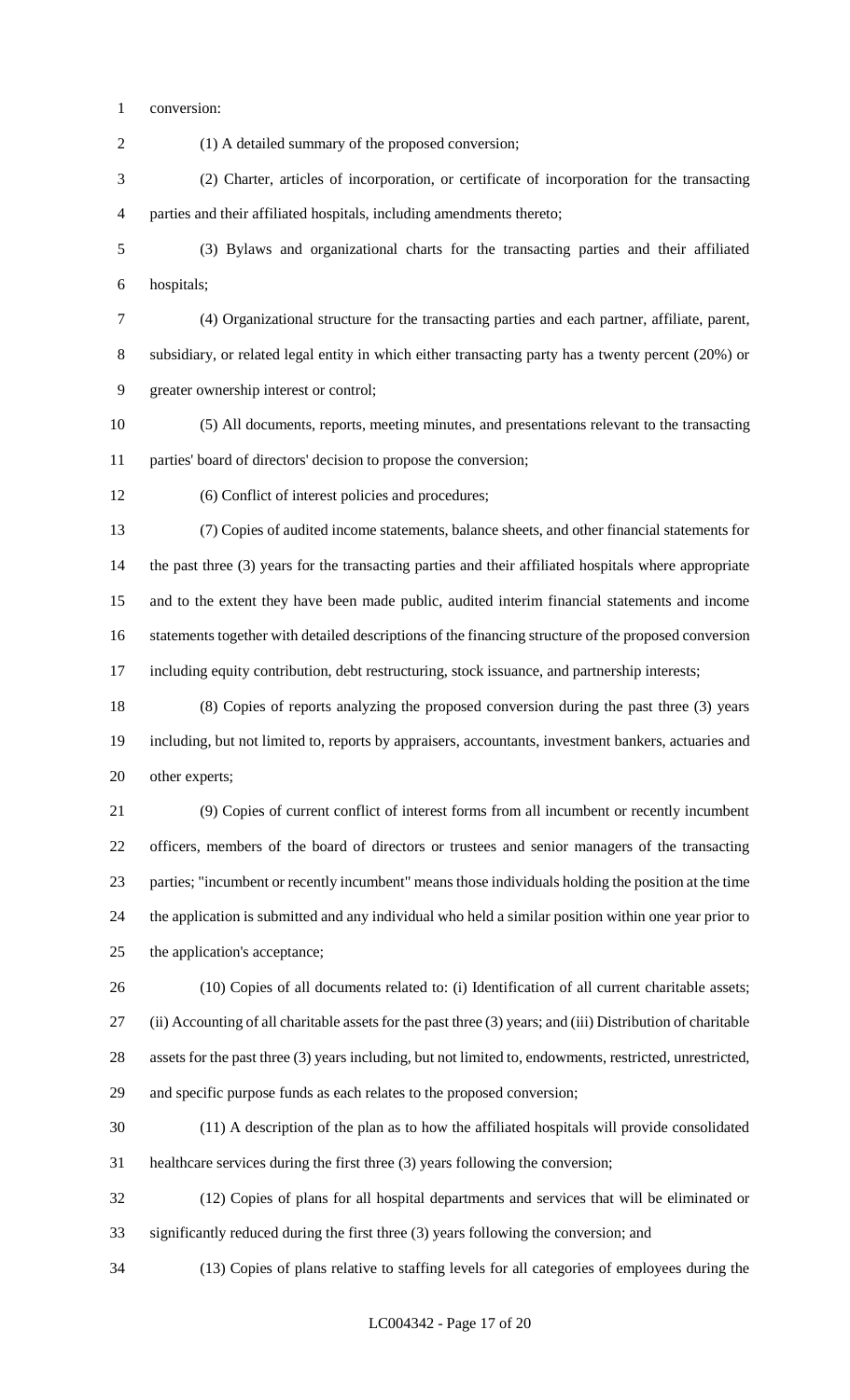conversion:

 (1) A detailed summary of the proposed conversion; (2) Charter, articles of incorporation, or certificate of incorporation for the transacting parties and their affiliated hospitals, including amendments thereto; (3) Bylaws and organizational charts for the transacting parties and their affiliated hospitals; (4) Organizational structure for the transacting parties and each partner, affiliate, parent, subsidiary, or related legal entity in which either transacting party has a twenty percent (20%) or greater ownership interest or control;

 (5) All documents, reports, meeting minutes, and presentations relevant to the transacting parties' board of directors' decision to propose the conversion;

(6) Conflict of interest policies and procedures;

 (7) Copies of audited income statements, balance sheets, and other financial statements for the past three (3) years for the transacting parties and their affiliated hospitals where appropriate and to the extent they have been made public, audited interim financial statements and income statements together with detailed descriptions of the financing structure of the proposed conversion including equity contribution, debt restructuring, stock issuance, and partnership interests;

 (8) Copies of reports analyzing the proposed conversion during the past three (3) years including, but not limited to, reports by appraisers, accountants, investment bankers, actuaries and other experts;

 (9) Copies of current conflict of interest forms from all incumbent or recently incumbent officers, members of the board of directors or trustees and senior managers of the transacting parties; "incumbent or recently incumbent" means those individuals holding the position at the time the application is submitted and any individual who held a similar position within one year prior to the application's acceptance;

 (10) Copies of all documents related to: (i) Identification of all current charitable assets; (ii) Accounting of all charitable assets for the past three (3) years; and (iii) Distribution of charitable assets for the past three (3) years including, but not limited to, endowments, restricted, unrestricted, and specific purpose funds as each relates to the proposed conversion;

 (11) A description of the plan as to how the affiliated hospitals will provide consolidated healthcare services during the first three (3) years following the conversion;

 (12) Copies of plans for all hospital departments and services that will be eliminated or significantly reduced during the first three (3) years following the conversion; and

(13) Copies of plans relative to staffing levels for all categories of employees during the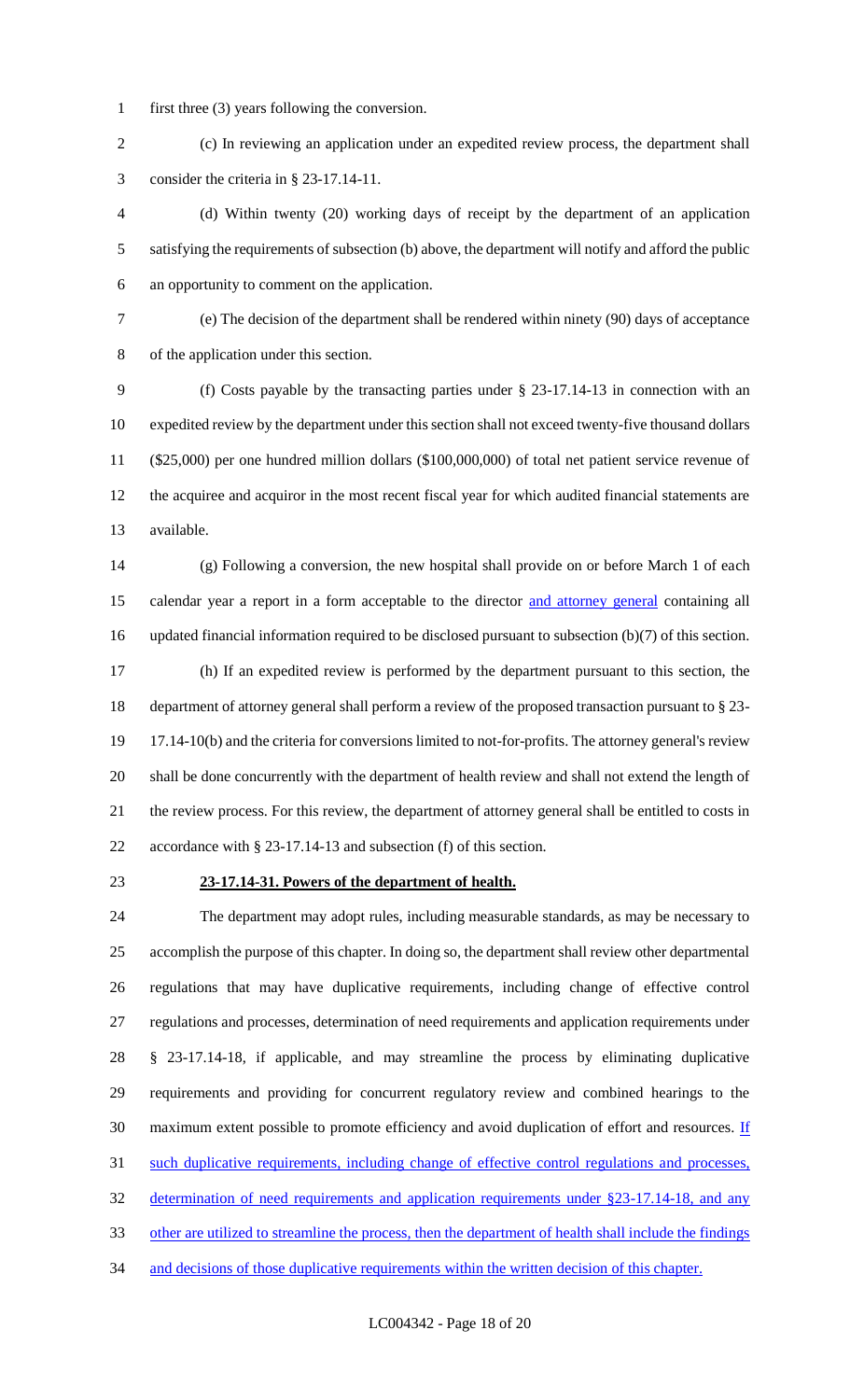first three (3) years following the conversion.

 (c) In reviewing an application under an expedited review process, the department shall consider the criteria in § 23-17.14-11.

 (d) Within twenty (20) working days of receipt by the department of an application satisfying the requirements of subsection (b) above, the department will notify and afford the public an opportunity to comment on the application.

 (e) The decision of the department shall be rendered within ninety (90) days of acceptance of the application under this section.

 (f) Costs payable by the transacting parties under § 23-17.14-13 in connection with an expedited review by the department under this section shall not exceed twenty-five thousand dollars (\$25,000) per one hundred million dollars (\$100,000,000) of total net patient service revenue of the acquiree and acquiror in the most recent fiscal year for which audited financial statements are available.

 (g) Following a conversion, the new hospital shall provide on or before March 1 of each 15 calendar year a report in a form acceptable to the director and attorney general containing all updated financial information required to be disclosed pursuant to subsection (b)(7) of this section. (h) If an expedited review is performed by the department pursuant to this section, the department of attorney general shall perform a review of the proposed transaction pursuant to § 23- 19 17.14-10(b) and the criteria for conversions limited to not-for-profits. The attorney general's review shall be done concurrently with the department of health review and shall not extend the length of the review process. For this review, the department of attorney general shall be entitled to costs in accordance with § 23-17.14-13 and subsection (f) of this section.

### **23-17.14-31. Powers of the department of health.**

 The department may adopt rules, including measurable standards, as may be necessary to accomplish the purpose of this chapter. In doing so, the department shall review other departmental regulations that may have duplicative requirements, including change of effective control regulations and processes, determination of need requirements and application requirements under § 23-17.14-18, if applicable, and may streamline the process by eliminating duplicative requirements and providing for concurrent regulatory review and combined hearings to the 30 maximum extent possible to promote efficiency and avoid duplication of effort and resources. If 31 such duplicative requirements, including change of effective control regulations and processes, determination of need requirements and application requirements under §23-17.14-18, and any other are utilized to streamline the process, then the department of health shall include the findings 34 and decisions of those duplicative requirements within the written decision of this chapter.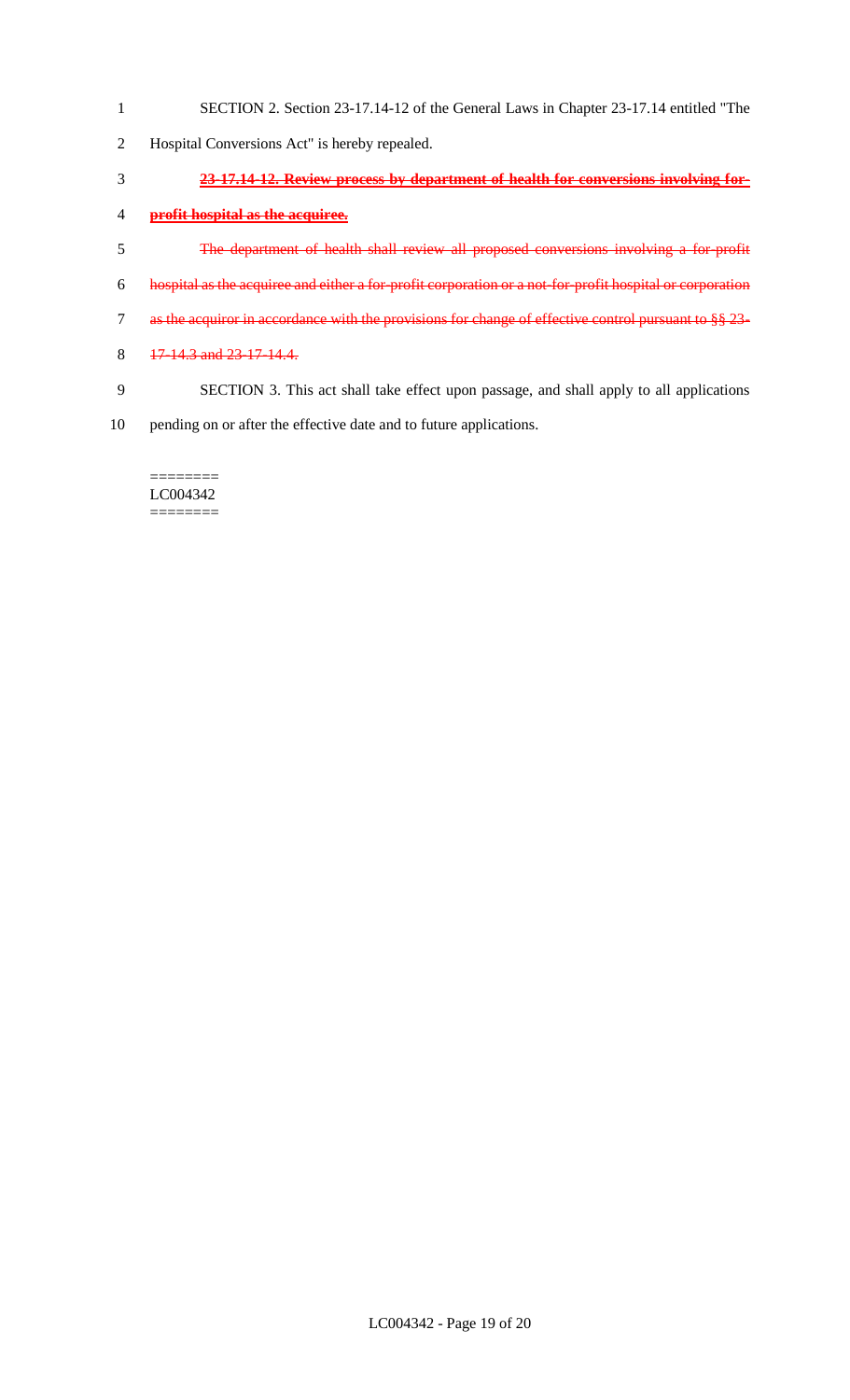- SECTION 2. Section 23-17.14-12 of the General Laws in Chapter 23-17.14 entitled "The
- Hospital Conversions Act" is hereby repealed.
- **23-17.14-12. Review process by department of health for conversions involving for-**
- **profit hospital as the acquiree.**
- The department of health shall review all proposed conversions involving a for-profit
- hospital as the acquiree and either a for-profit corporation or a not-for-profit hospital or corporation
- as the acquiror in accordance with the provisions for change of effective control pursuant to §§ 23-
- 8 17-14.3 and 23-17-14.4.
- SECTION 3. This act shall take effect upon passage, and shall apply to all applications
- pending on or after the effective date and to future applications.

======== LC004342 ========